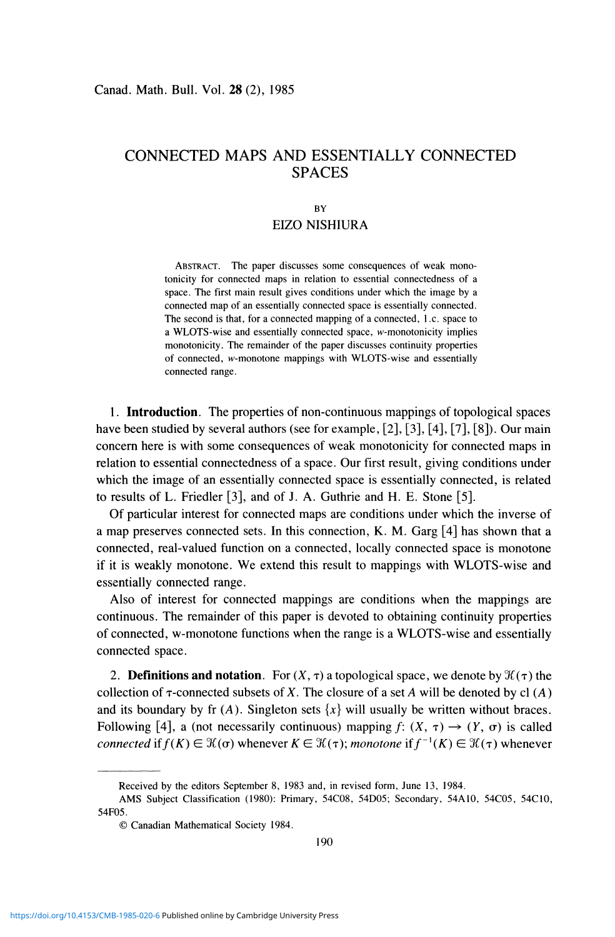# CONNECTED MAPS AND ESSENTIALLY CONNECTED SPACES

## **BY**  EIZO NISHIURA

ABSTRACT. The paper discusses some consequences of weak monotonicity for connected maps in relation to essential connectedness of a space. The first main result gives conditions under which the image by a connected map of an essentially connected space is essentially connected. The second is that, for a connected mapping of a connected, 1 .c. space to a WLOTS-wise and essentially connected space, w-monotonicity implies monotonicity. The remainder of the paper discusses continuity properties of connected, w-monotone mappings with WLOTS-wise and essentially connected range.

1. **Introduction.** The properties of non-continuous mappings of topological spaces have been studied by several authors (see for example, [2], [3], [4], [7], [8]). Our main concern here is with some consequences of weak monotonicity for connected maps in relation to essential connectedness of a space. Our first result, giving conditions under which the image of an essentially connected space is essentially connected, is related to results of L. Friedler [3], and of J. A. Guthrie and H. E. Stone [5].

Of particular interest for connected maps are conditions under which the inverse of a map preserves connected sets. In this connection, K. M. Garg [4] has shown that a connected, real-valued function on a connected, locally connected space is monotone if it is weakly monotone. We extend this result to mappings with WLOTS-wise and essentially connected range.

Also of interest for connected mappings are conditions when the mappings are continuous. The remainder of this paper is devoted to obtaining continuity properties of connected, w-monotone functions when the range is a WLOTS-wise and essentially connected space.

2. **Definitions and notation**. For  $(X, \tau)$  a topological space, we denote by  $\mathcal{H}(\tau)$  the collection of  $\tau$ -connected subsets of X. The closure of a set A will be denoted by cl  $(A)$ and its boundary by fr  $(A)$ . Singleton sets  $\{x\}$  will usually be written without braces. Following [4], a (not necessarily continuous) mapping  $f: (X, \tau) \rightarrow (Y, \sigma)$  is called *connected* if  $f(K) \in \mathcal{K}(\sigma)$  whenever  $K \in \mathcal{K}(\tau)$ ; *monotone* if  $f^{-1}(K) \in \mathcal{K}(\tau)$  whenever

Received by the editors September 8, 1983 and, in revised form, June 13, 1984.

AMS Subject Classification (1980): Primary, 54C08, 54D05; Secondary, 54A10, 54C05, 54C10, 54F05.

<sup>©</sup> Canadian Mathematical Society 1984.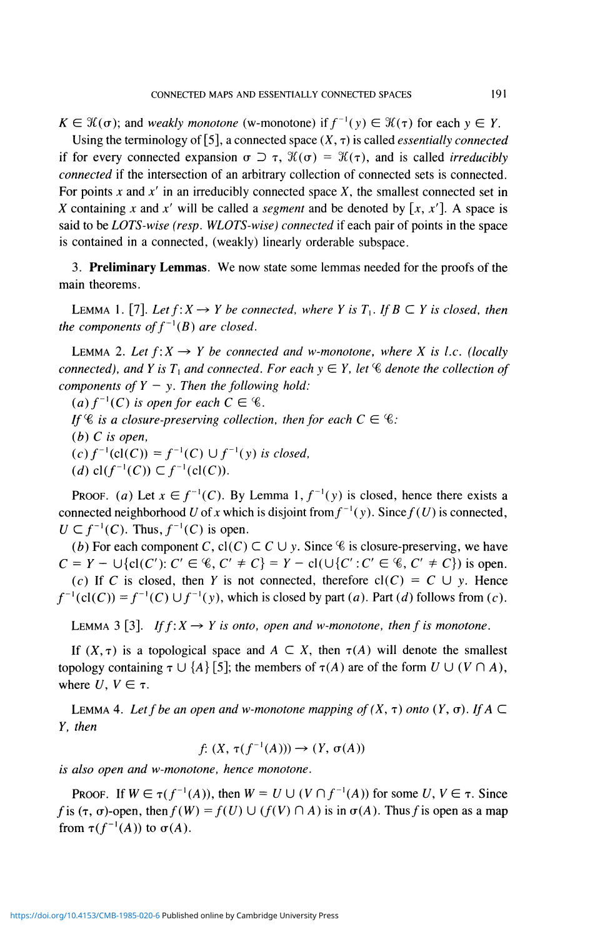$K \in \mathcal{H}(\sigma)$ ; and *weakly monotone* (w-monotone) if  $f^{-1}(y) \in \mathcal{H}(\tau)$  for each  $y \in Y$ .

Using the terminology of [5], a connected space  $(X, \tau)$  is called *essentially connected* if for every connected expansion  $\sigma \supset \tau$ ,  $\mathcal{H}(\sigma) = \mathcal{H}(\tau)$ , and is called *irreducibly connected* if the intersection of an arbitrary collection of connected sets is connected. For points *x* and *x'* in an irreducibly connected space X, the smallest connected set in X containing x and x' will be called a *segment* and be denoted by  $[x, x']$ . A space is said to be *LOTS-wise (resp. WLOTS-wise) connected* if each pair of points in the space is contained in a connected, (weakly) linearly orderable subspace.

3. **Preliminary Lemmas.** We now state some lemmas needed for the proofs of the main theorems.

LEMMA 1. [7]. Let  $f: X \to Y$  be connected, where Y is  $T_1$ . If  $B \subset Y$  is closed, then *the components of*  $f^{-1}(B)$  *are closed.* 

LEMMA 2. Let  $f: X \rightarrow Y$  be connected and w-monotone, where X is *l.c.* (locally *connected), and Y is T<sub>1</sub> and connected. For each*  $y \in Y$ *, let*  $\mathscr C$  *denote the collection of components of*  $Y - y$ *. Then the following hold:* 

 $(a) f^{-1}(C)$  *is open for each*  $C \in \mathcal{C}$ .

*If*  $\mathscr C$  *is a closure-preserving collection, then for each*  $C \in \mathscr C$ *:* 

*(b) C is open,* 

 $(c) f^{-1}(cl(C)) = f^{-1}(C) \cup f^{-1}(y)$  is closed,

*(d)*  $cl(f^{-1}(C)) \subset f^{-1}(cl)$ 

**PROOF.** (a) Let  $x \in f^{-1}(C)$ . By Lemma 1,  $f^{-1}(y)$  is closed, hence there exists a connected neighborhood U of x which is disjoint from  $f^{-1}(y)$ . Since  $f(U)$  is connected,  $U \subset f^{-1}(C)$ . Thus,  $f^{-1}(C)$  is open.

*(b)* For each component *C*,  $cl(C) \subset C \cup y$ . Since *C* is closure-preserving, we have  $C = Y - \bigcup \{ cl(C') : C' \in \mathcal{C}, C' \neq C \} = Y - cl(\bigcup \{ C' : C' \in \mathcal{C}, C' \neq C \})$  is open. (c) If C is closed, then Y is not connected, therefore  $cl(C) = C \cup y$ . Hence  $f^{-1}(cl(C)) = f^{-1}(C) \cup f^{-1}(y)$ , which is closed by part (a). Part (d) follows from (c).

LEMMA 3 [3]. If  $f: X \rightarrow Y$  is onto, open and w-monotone, then f is monotone.

If  $(X, \tau)$  is a topological space and  $A \subset X$ , then  $\tau(A)$  will denote the smallest topology containing  $\tau \cup \{A\}$  [5]; the members of  $\tau(A)$  are of the form  $U \cup (V \cap A)$ , where  $U, V \in \tau$ .

LEMMA 4. Let f be an open and w-monotone mapping of  $(X, \tau)$  onto  $(Y, \sigma)$ . If  $A \subset$ F, *then* 

 $f: (X, \tau(f^{-1}(A))) \to (Y, \sigma)$ 

*is also open and w-monotone, hence monotone.* 

PROOF. If  $W \in \tau(f^{-1}(A))$ , then  $W = U \cup (V \cap f^{-1}(A))$  for some  $U, V \in \tau$ . Since f is  $(\tau, \sigma)$ -open, then  $f(W) = f(U) \cup (f(V) \cap A)$  is in  $\sigma(A)$ . Thus f is open as a map from  $\tau(f^{-1}(A))$  to  $\sigma(A)$ .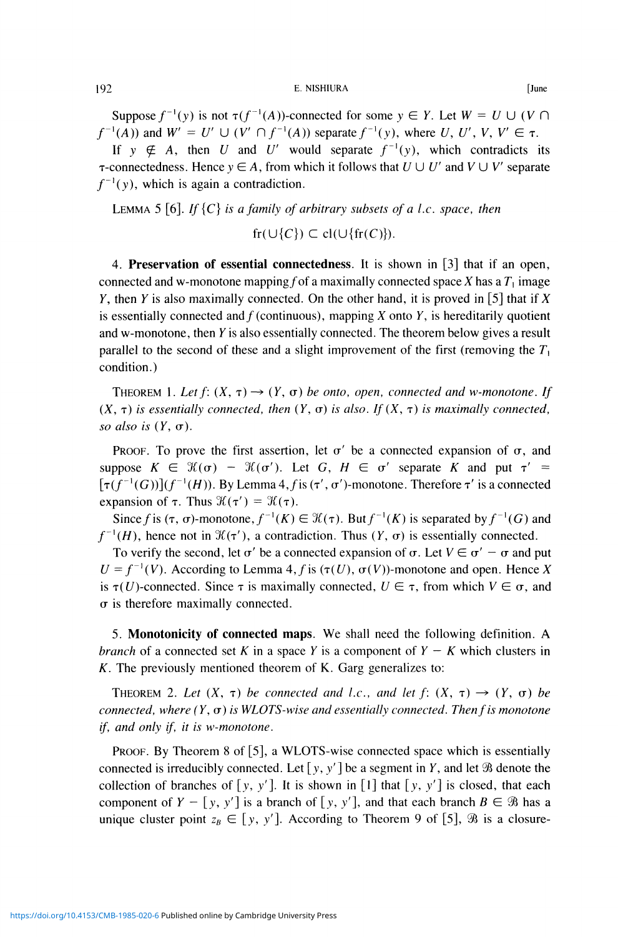### 192 **E. NISHIURA** [June

Suppose  $f^{-1}(y)$  is not  $\tau(f^{-1}(A))$ -connected for some  $y \in Y$ . Let  $W = U \cup (V \cap Y)$  $f^{-1}(A)$ ) and  $W' = U' \cup (V' \cap f^{-1}(A))$  separate  $f^{-1}(y)$ , where U, U', V, V'  $\in \tau$ . If  $y \notin A$ , then *U* and *U'* would separate  $f^{-1}(y)$ , which contradicts its

 $\tau$ -connectedness. Hence  $y \in A$ , from which it follows that  $U \cup U'$  and  $V \cup V'$  separate  $f^{-1}(y)$ , which is again a contradiction.

LEMMA 5 [6]. If  ${C}$  is a family of arbitrary subsets of a l.c. space, then

$$
\mathrm{fr}(\cup\{C\}) \subset \mathrm{cl}(\cup\{\mathrm{fr}(C)\}).
$$

4. **Preservation of essential connectedness.** It is shown in [3] that if an open, connected and w-monotone mapping f of a maximally connected space X has a  $T_1$  image *Y*, then *Y* is also maximally connected. On the other hand, it is proved in [5] that if *X* is essentially connected and  $f$  (continuous), mapping  $X$  onto  $Y$ , is hereditarily quotient and w-monotone, then *Y* is also essentially connected. The theorem below gives a result parallel to the second of these and a slight improvement of the first (removing the  $T_1$ ) condition.)

THEOREM 1. Let  $f: (X, \tau) \rightarrow (Y, \sigma)$  be onto, open, connected and w-monotone. If  $(X, \tau)$  *is essentially connected, then*  $(Y, \sigma)$  *is also. If*  $(X, \tau)$  *is maximally connected, so also is*  $(Y, \sigma)$ .

PROOF. To prove the first assertion, let  $\sigma'$  be a connected expansion of  $\sigma$ , and suppose  $K \in \mathcal{H}(\sigma)$  –  $\mathcal{H}(\sigma')$ . Let G,  $H \in \sigma'$  separate K and put  $\tau' =$  $[\tau(f^{-1}(G))] (f^{-1}(H))$ . By Lemma 4, f is  $(\tau', \sigma')$ -monotone. Therefore  $\tau'$  is a connected expansion of  $\tau$ . Thus  $\mathcal{H}(\tau') = \mathcal{H}(\tau)$ .

Since f is  $(\tau, \sigma)$ -monotone,  $f^{-1}(K) \in \mathcal{H}(\tau)$ . But  $f^{-1}(K)$  is separated by  $f^{-1}(G)$  and  $f^{-1}(H)$ , hence not in  $\mathcal{H}(\tau')$ , a contradiction. Thus  $(Y, \sigma)$  is essentially connected.

To verify the second, let  $\sigma'$  be a connected expansion of  $\sigma$ . Let  $V \in \sigma' - \sigma$  and put  $U = f^{-1}(V)$ . According to Lemma 4, f is ( $\tau(U)$ ,  $\sigma(V)$ )-monotone and open. Hence *X* is  $\tau(U)$ -connected. Since  $\tau$  is maximally connected,  $U \in \tau$ , from which  $V \in \sigma$ , and  $\sigma$  is therefore maximally connected.

5. **Monotonicity of connected maps.** We shall need the following definition. A *branch* of a connected set K in a space Y is a component of  $Y - K$  which clusters in *K.* The previously mentioned theorem of K. Garg generalizes to:

THEOREM 2. Let  $(X, \tau)$  be connected and *l.c.*, and let  $f: (X, \tau) \rightarrow (Y, \sigma)$  be *connected, where*  $(Y, \sigma)$  *is WLOTS-wise and essentially connected. Then f is monotone if, and only if, it is w-monotone.* 

PROOF. By Theorem 8 of [5], a WLOTS-wise connected space which is essentially connected is irreducibly connected. Let  $[y, y']$  be a segment in *Y*, and let  $\Re$  denote the collection of branches of *[y, y'].* It is shown in [1] that *[y, y']* is closed, that each component of  $Y - [y, y']$  is a branch of  $[y, y']$ , and that each branch  $B \in \mathcal{B}$  has a unique cluster point  $z_B \in [y, y']$ . According to Theorem 9 of [5],  $\Re$  is a closure-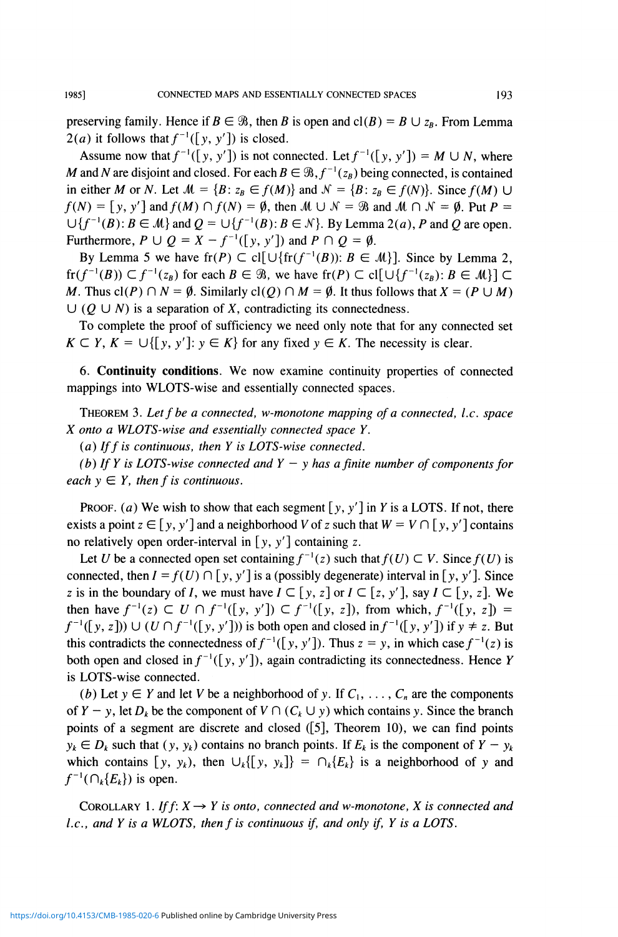preserving family. Hence if  $B \in \mathcal{B}$ , then *B* is open and cl(*B*) =  $B \cup z_B$ . From Lemma  $2(a)$  it follows that  $f^{-1}(\lceil y, y' \rceil)$  is closed.

Assume now that  $f^{-1}([y, y'])$  is not connected. Let  $f^{-1}([y, y']) = M \cup N$ , where *M* and *N* are disjoint and closed. For each  $B \in \mathcal{B}$ ,  $f^{-1}(z_B)$  being connected, is contained in either M or N. Let  $M = {B: z_B \in f(M)}$  and  $N = {B: z_B \in f(N)}$ . Since  $f(M) \cup$  $f(N) = [y, y']$  and  $f(M) \cap f(N) = \emptyset$ , then  $M \cup N = \mathcal{B}$  and  $M \cap N = \emptyset$ . Put  $P =$  $\bigcup \{f^{-1}(B) : B \in \mathcal{M}\}\$ and  $Q = \bigcup \{f^{-1}(B) : B \in \mathcal{N}\}\$ . By Lemma 2(*a*), *P* and *Q* are open. Furthermore,  $P \cup Q = X - f^{-1}([y, y'])$  and  $P \cap Q = \emptyset$ .

By Lemma 5 we have  $\text{fr}(P) \subset \text{cl}[\cup \{\text{fr}(f^{-1}(B)) : B \in \mathcal{M}\}]$ . Since by Lemma 2,  $f_r(f^{-1}(B)) \subset f^{-1}(z_B)$  for each  $B \in \mathcal{B}$ , we have  $f_r(P) \subset \text{cl}[\cup \{f^{-1}(z_B) : B \in \mathcal{M}\}] \subset$ M. Thus  $cl(P) \cap N = \emptyset$ . Similarly  $cl(Q) \cap M = \emptyset$ . It thus follows that  $X = (P \cup M)$  $\cup$  (Q  $\cup$  N) is a separation of X, contradicting its connectedness.

To complete the proof of sufficiency we need only note that for any connected set  $K \subset Y$ ,  $K = \bigcup \{ [y, y'] : y \in K \}$  for any fixed  $y \in K$ . The necessity is clear.

6. **Continuity conditions.** We now examine continuity properties of connected mappings into WLOTS-wise and essentially connected spaces.

THEOREM 3. *Let f be a connected, w-monotone mapping of a connected*', *I.e. space X onto a WLOTS-wise and essentially connected space Y.* 

*(a) Iffis continuous, then Y is LOTS-wise connected.* 

*(b) If Y is LOTS-wise connected and Y – y has a finite number of components for each*  $y \in Y$ *, then f is continuous.* 

PROOF. (a) We wish to show that each segment  $[y, y']$  in Y is a LOTS. If not, there exists a point  $z \in [y, y']$  and a neighborhood V of z such that  $W = V \cap [y, y']$  contains no relatively open order-interval in  $[y, y']$  containing z.

Let *U* be a connected open set containing  $f^{-1}(z)$  such that  $f(U) \subset V$ . Since  $f(U)$  is connected, then  $I = f(U) \cap [y, y']$  is a (possibly degenerate) interval in [y, y']. Since z is in the boundary of *I*, we must have  $I \subset [y, z]$  or  $I \subset [z, y']$ , say  $I \subset [y, z]$ . We then have  $f^{-1}(z) \subset U \cap f^{-1}([y, y']) \subset f^{-1}([y, z])$ , from which,  $f^{-1}([y, z]) =$  $f^{-1}([y, z])$ )  $\cup$  (U  $\cap f^{-1}([y, y'])$ ) is both open and closed in  $f^{-1}([y, y'])$  if  $y \neq z$ . But this contradicts the connectedness of  $f^{-1}([y, y'])$ . Thus  $z = y$ , in which case  $f^{-1}(z)$  is both open and closed in  $f^{-1}([y, y'])$ , again contradicting its connectedness. Hence *Y* is LOTS-wise connected.

*(b)* Let  $y \in Y$  and let V be a neighborhood of y. If  $C_1, \ldots, C_n$  are the components of  $Y - y$ , let  $D_k$  be the component of  $V \cap (C_k \cup y)$  which contains y. Since the branch points of a segment are discrete and closed ([5], Theorem 10), we can find points  $y_k \in D_k$  such that  $(y, y_k)$  contains no branch points. If  $E_k$  is the component of  $Y - y_k$ which contains  $[y, y_k)$ , then  $\bigcup_k \{[y, y_k]\} = \bigcap_k \{E_k\}$  is a neighborhood of y and  $f^{-1}(\bigcap_k \{E_k\})$  is open.

COROLLARY 1. If  $f: X \rightarrow Y$  is onto, connected and w-monotone, X is connected and *I.c., and Y is a WLOTS, then f is continuous if, and only if, Y is a LOTS.*